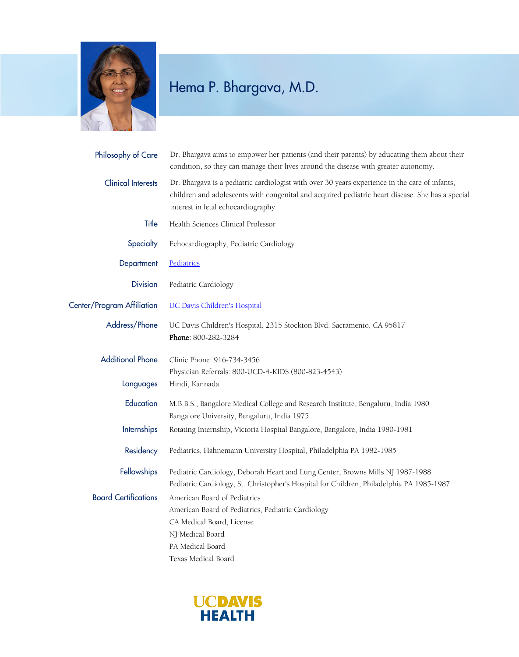

## Hema P. Bhargava, M.D.

| Philosophy of Care          | Dr. Bhargava aims to empower her patients (and their parents) by educating them about their<br>condition, so they can manage their lives around the disease with greater autonomy.                                                        |
|-----------------------------|-------------------------------------------------------------------------------------------------------------------------------------------------------------------------------------------------------------------------------------------|
| <b>Clinical Interests</b>   | Dr. Bhargava is a pediatric cardiologist with over 30 years experience in the care of infants,<br>children and adolescents with congenital and acquired pediatric heart disease. She has a special<br>interest in fetal echocardiography. |
| Title                       | Health Sciences Clinical Professor                                                                                                                                                                                                        |
| Specialty                   | Echocardiography, Pediatric Cardiology                                                                                                                                                                                                    |
| Department                  | Pediatrics                                                                                                                                                                                                                                |
| <b>Division</b>             | Pediatric Cardiology                                                                                                                                                                                                                      |
| Center/Program Affiliation  | <b>UC Davis Children's Hospital</b>                                                                                                                                                                                                       |
| Address/Phone               | UC Davis Children's Hospital, 2315 Stockton Blvd. Sacramento, CA 95817<br>Phone: 800-282-3284                                                                                                                                             |
| <b>Additional Phone</b>     | Clinic Phone: 916-734-3456<br>Physician Referrals: 800-UCD-4-KIDS (800-823-4543)                                                                                                                                                          |
| Languages                   | Hindi, Kannada                                                                                                                                                                                                                            |
| Education                   | M.B.B.S., Bangalore Medical College and Research Institute, Bengaluru, India 1980<br>Bangalore University, Bengaluru, India 1975                                                                                                          |
| Internships                 | Rotating Internship, Victoria Hospital Bangalore, Bangalore, India 1980-1981                                                                                                                                                              |
| Residency                   | Pediatrics, Hahnemann University Hospital, Philadelphia PA 1982-1985                                                                                                                                                                      |
| Fellowships                 | Pediatric Cardiology, Deborah Heart and Lung Center, Browns Mills NJ 1987-1988<br>Pediatric Cardiology, St. Christopher's Hospital for Children, Philadelphia PA 1985-1987                                                                |
| <b>Board Certifications</b> | American Board of Pediatrics<br>American Board of Pediatrics, Pediatric Cardiology<br>CA Medical Board, License<br>NJ Medical Board<br>PA Medical Board                                                                                   |
|                             | Texas Medical Board                                                                                                                                                                                                                       |